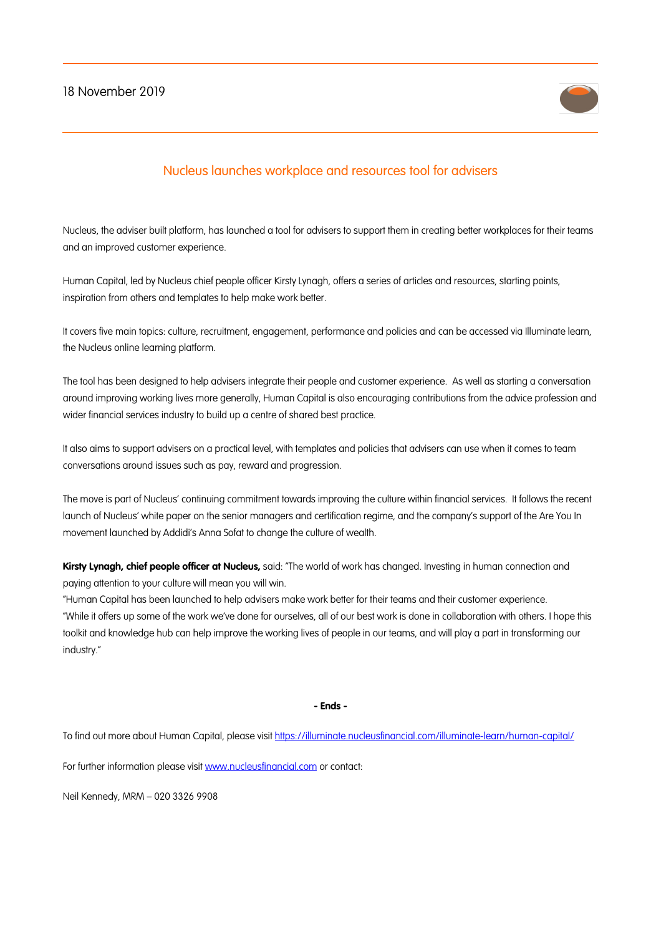## 18 November 2019



## Nucleus launches workplace and resources tool for advisers

Nucleus, the adviser built platform, has launched a tool for advisers to support them in creating better workplaces for their teams and an improved customer experience.

Human Capital, led by Nucleus chief people officer Kirsty Lynagh, offers a series of articles and resources, starting points, inspiration from others and templates to help make work better.

It covers five main topics: culture, recruitment, engagement, performance and policies and can be accessed via Illuminate learn, the Nucleus online learning platform.

The tool has been designed to help advisers integrate their people and customer experience. As well as starting a conversation around improving working lives more generally, Human Capital is also encouraging contributions from the advice profession and wider financial services industry to build up a centre of shared best practice.

It also aims to support advisers on a practical level, with templates and policies that advisers can use when it comes to team conversations around issues such as pay, reward and progression.

The move is part of Nucleus' continuing commitment towards improving the culture within financial services. It follows the recent launch of Nucleus' white paper on the senior managers and certification regime, and the company's support of the Are You In movement launched by Addidi's Anna Sofat to change the culture of wealth.

**Kirsty Lynagh, chief people officer at Nucleus,** said: "The world of work has changed. Investing in human connection and paying attention to your culture will mean you will win.

"Human Capital has been launched to help advisers make work better for their teams and their customer experience. "While it offers up some of the work we've done for ourselves, all of our best work is done in collaboration with others. I hope this toolkit and knowledge hub can help improve the working lives of people in our teams, and will play a part in transforming our industry."

**- Ends -**

To find out more about Human Capital, please visit https://illuminate.nucleusfinancial.com/illuminate-learn/human-capital/

For further information please visit www.nucleusfinancial.com or contact:

Neil Kennedy, MRM – 020 3326 9908